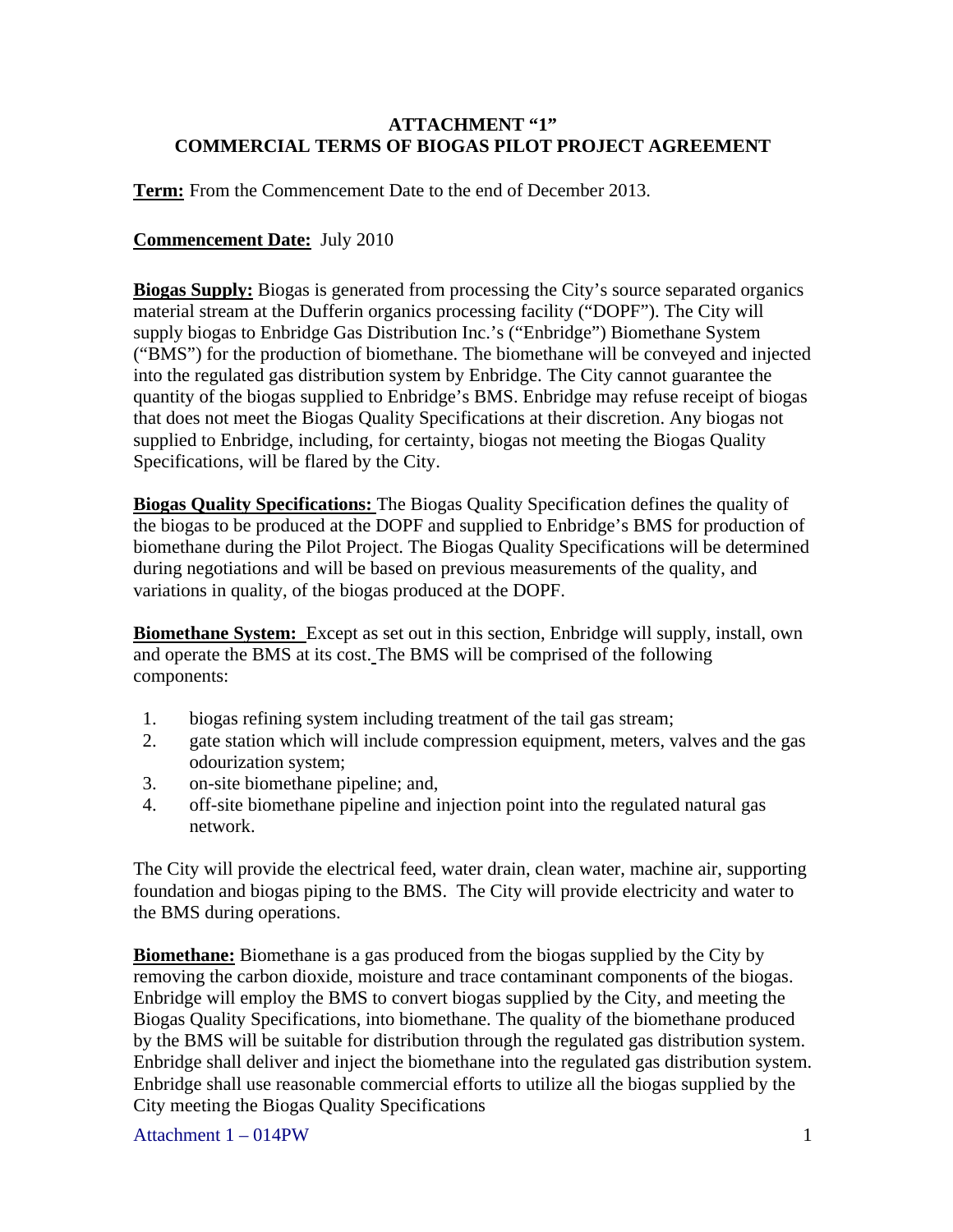## **ATTACHMENT "1" COMMERCIAL TERMS OF BIOGAS PILOT PROJECT AGREEMENT**

**Term:** From the Commencement Date to the end of December 2013.

## **Commencement Date:** July 2010

**Biogas Supply:** Biogas is generated from processing the City's source separated organics material stream at the Dufferin organics processing facility ("DOPF"). The City will supply biogas to Enbridge Gas Distribution Inc.'s ("Enbridge") Biomethane System ("BMS") for the production of biomethane. The biomethane will be conveyed and injected into the regulated gas distribution system by Enbridge. The City cannot guarantee the quantity of the biogas supplied to Enbridge's BMS. Enbridge may refuse receipt of biogas that does not meet the Biogas Quality Specifications at their discretion. Any biogas not supplied to Enbridge, including, for certainty, biogas not meeting the Biogas Quality Specifications, will be flared by the City.

**Biogas Quality Specifications:** The Biogas Quality Specification defines the quality of the biogas to be produced at the DOPF and supplied to Enbridge's BMS for production of biomethane during the Pilot Project. The Biogas Quality Specifications will be determined during negotiations and will be based on previous measurements of the quality, and variations in quality, of the biogas produced at the DOPF.

**Biomethane System:** Except as set out in this section, Enbridge will supply, install, own and operate the BMS at its cost. The BMS will be comprised of the following components:

- 1. biogas refining system including treatment of the tail gas stream;
- 2. gate station which will include compression equipment, meters, valves and the gas odourization system;
- 3. on-site biomethane pipeline; and,
- 4. off-site biomethane pipeline and injection point into the regulated natural gas network.

The City will provide the electrical feed, water drain, clean water, machine air, supporting foundation and biogas piping to the BMS. The City will provide electricity and water to the BMS during operations.

**Biomethane:** Biomethane is a gas produced from the biogas supplied by the City by removing the carbon dioxide, moisture and trace contaminant components of the biogas. Enbridge will employ the BMS to convert biogas supplied by the City, and meeting the Biogas Quality Specifications, into biomethane. The quality of the biomethane produced by the BMS will be suitable for distribution through the regulated gas distribution system. Enbridge shall deliver and inject the biomethane into the regulated gas distribution system. Enbridge shall use reasonable commercial efforts to utilize all the biogas supplied by the City meeting the Biogas Quality Specifications

Attachment  $1 - 014$ PW 1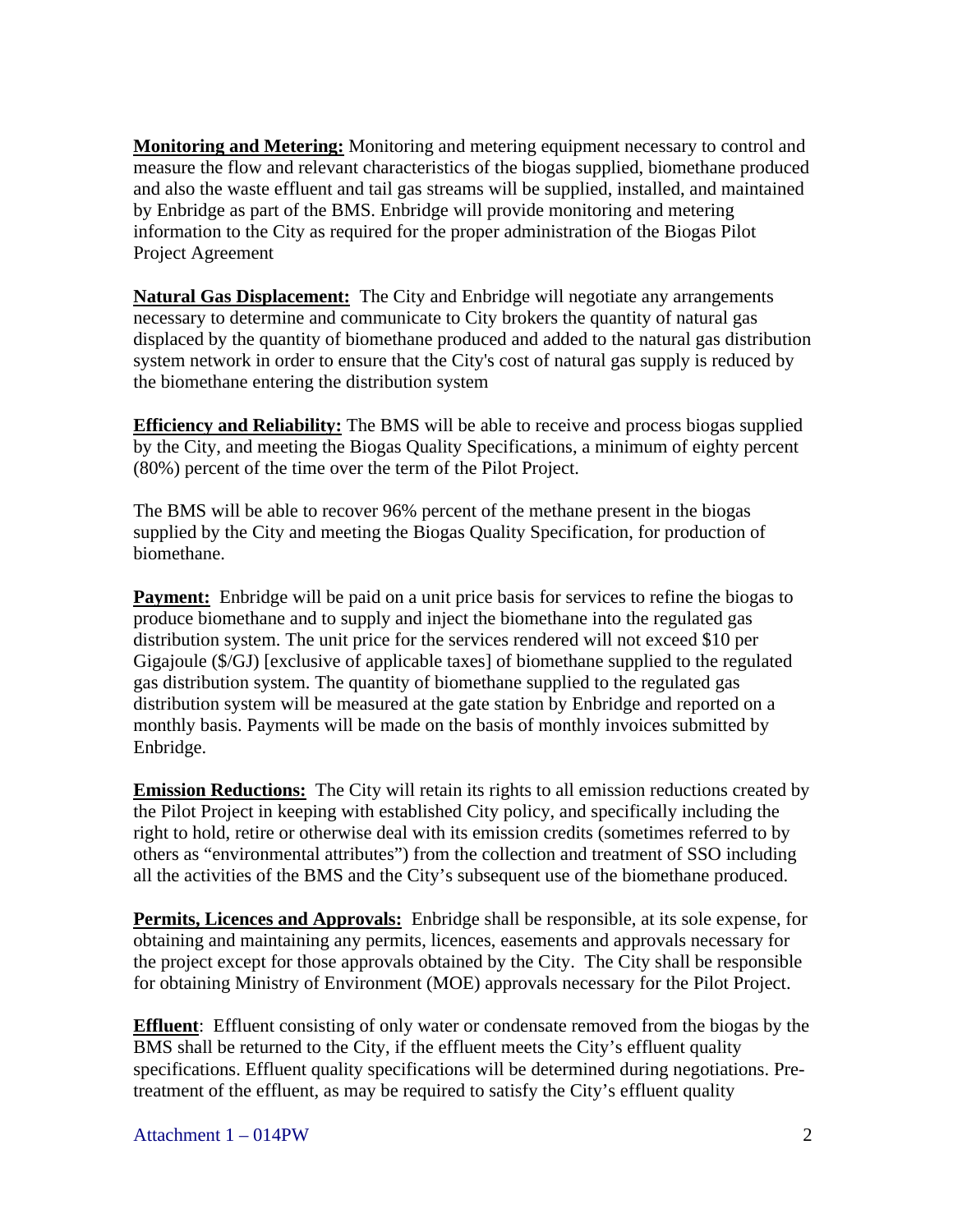**Monitoring and Metering:** Monitoring and metering equipment necessary to control and measure the flow and relevant characteristics of the biogas supplied, biomethane produced and also the waste effluent and tail gas streams will be supplied, installed, and maintained by Enbridge as part of the BMS. Enbridge will provide monitoring and metering information to the City as required for the proper administration of the Biogas Pilot Project Agreement

**Natural Gas Displacement:** The City and Enbridge will negotiate any arrangements necessary to determine and communicate to City brokers the quantity of natural gas displaced by the quantity of biomethane produced and added to the natural gas distribution system network in order to ensure that the City's cost of natural gas supply is reduced by the biomethane entering the distribution system

**Efficiency and Reliability:** The BMS will be able to receive and process biogas supplied by the City, and meeting the Biogas Quality Specifications, a minimum of eighty percent (80%) percent of the time over the term of the Pilot Project.

The BMS will be able to recover 96% percent of the methane present in the biogas supplied by the City and meeting the Biogas Quality Specification, for production of biomethane.

**Payment:** Enbridge will be paid on a unit price basis for services to refine the biogas to produce biomethane and to supply and inject the biomethane into the regulated gas distribution system. The unit price for the services rendered will not exceed \$10 per Gigajoule (\$/GJ) [exclusive of applicable taxes] of biomethane supplied to the regulated gas distribution system. The quantity of biomethane supplied to the regulated gas distribution system will be measured at the gate station by Enbridge and reported on a monthly basis. Payments will be made on the basis of monthly invoices submitted by Enbridge.

**Emission Reductions:** The City will retain its rights to all emission reductions created by the Pilot Project in keeping with established City policy, and specifically including the right to hold, retire or otherwise deal with its emission credits (sometimes referred to by others as "environmental attributes") from the collection and treatment of SSO including all the activities of the BMS and the City's subsequent use of the biomethane produced.

**Permits, Licences and Approvals:** Enbridge shall be responsible, at its sole expense, for obtaining and maintaining any permits, licences, easements and approvals necessary for the project except for those approvals obtained by the City. The City shall be responsible for obtaining Ministry of Environment (MOE) approvals necessary for the Pilot Project.

**Effluent**: Effluent consisting of only water or condensate removed from the biogas by the BMS shall be returned to the City, if the effluent meets the City's effluent quality specifications. Effluent quality specifications will be determined during negotiations. Pretreatment of the effluent, as may be required to satisfy the City's effluent quality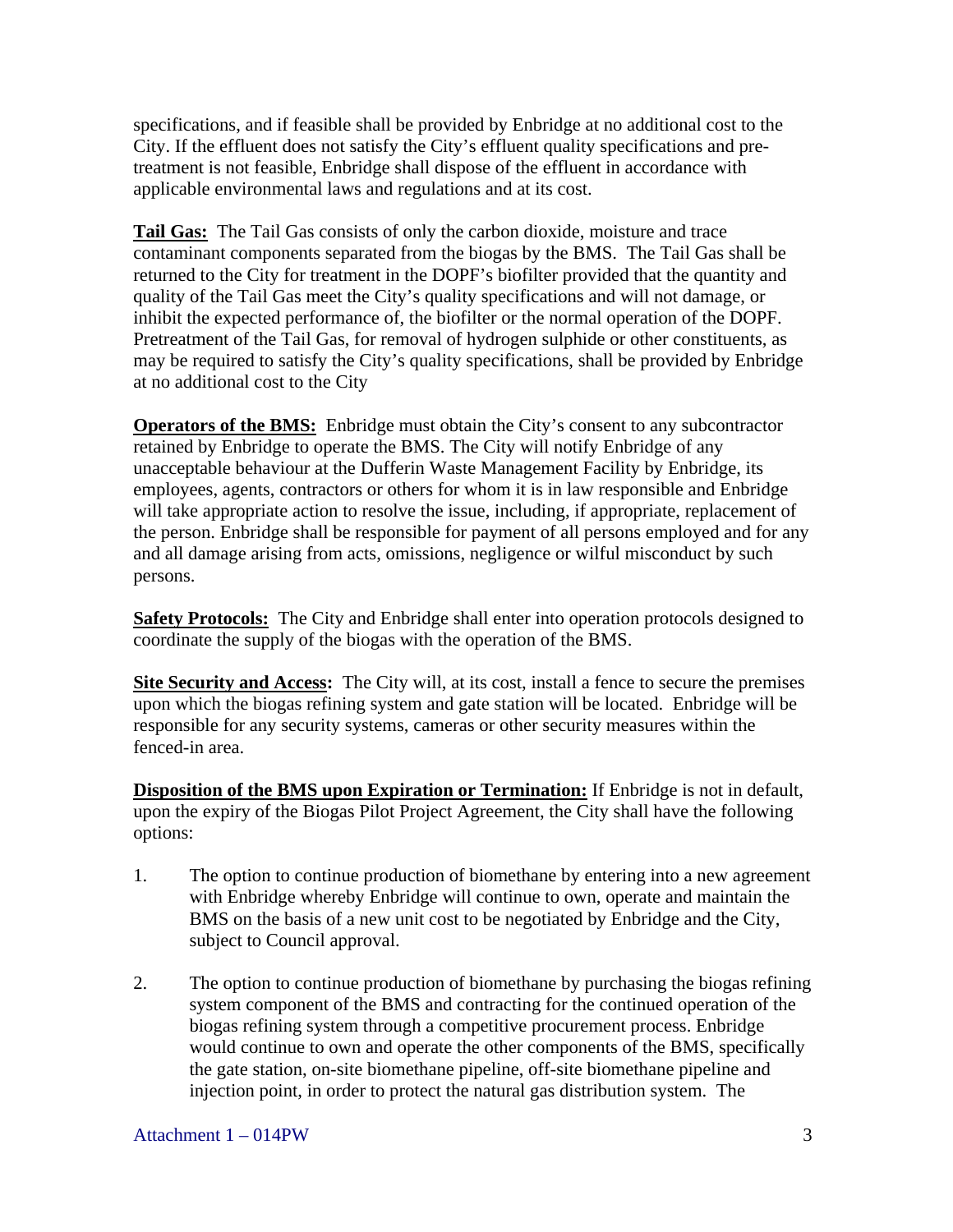specifications, and if feasible shall be provided by Enbridge at no additional cost to the City. If the effluent does not satisfy the City's effluent quality specifications and pretreatment is not feasible, Enbridge shall dispose of the effluent in accordance with applicable environmental laws and regulations and at its cost.

**Tail Gas:** The Tail Gas consists of only the carbon dioxide, moisture and trace contaminant components separated from the biogas by the BMS. The Tail Gas shall be returned to the City for treatment in the DOPF's biofilter provided that the quantity and quality of the Tail Gas meet the City's quality specifications and will not damage, or inhibit the expected performance of, the biofilter or the normal operation of the DOPF. Pretreatment of the Tail Gas, for removal of hydrogen sulphide or other constituents, as may be required to satisfy the City's quality specifications, shall be provided by Enbridge at no additional cost to the City

**Operators of the BMS:** Enbridge must obtain the City's consent to any subcontractor retained by Enbridge to operate the BMS. The City will notify Enbridge of any unacceptable behaviour at the Dufferin Waste Management Facility by Enbridge, its employees, agents, contractors or others for whom it is in law responsible and Enbridge will take appropriate action to resolve the issue, including, if appropriate, replacement of the person. Enbridge shall be responsible for payment of all persons employed and for any and all damage arising from acts, omissions, negligence or wilful misconduct by such persons.

**Safety Protocols:** The City and Enbridge shall enter into operation protocols designed to coordinate the supply of the biogas with the operation of the BMS.

**Site Security and Access:** The City will, at its cost, install a fence to secure the premises upon which the biogas refining system and gate station will be located. Enbridge will be responsible for any security systems, cameras or other security measures within the fenced-in area.

**Disposition of the BMS upon Expiration or Termination:** If Enbridge is not in default, upon the expiry of the Biogas Pilot Project Agreement, the City shall have the following options:

- 1. The option to continue production of biomethane by entering into a new agreement with Enbridge whereby Enbridge will continue to own, operate and maintain the BMS on the basis of a new unit cost to be negotiated by Enbridge and the City, subject to Council approval.
- 2. The option to continue production of biomethane by purchasing the biogas refining system component of the BMS and contracting for the continued operation of the biogas refining system through a competitive procurement process. Enbridge would continue to own and operate the other components of the BMS, specifically the gate station, on-site biomethane pipeline, off-site biomethane pipeline and injection point, in order to protect the natural gas distribution system. The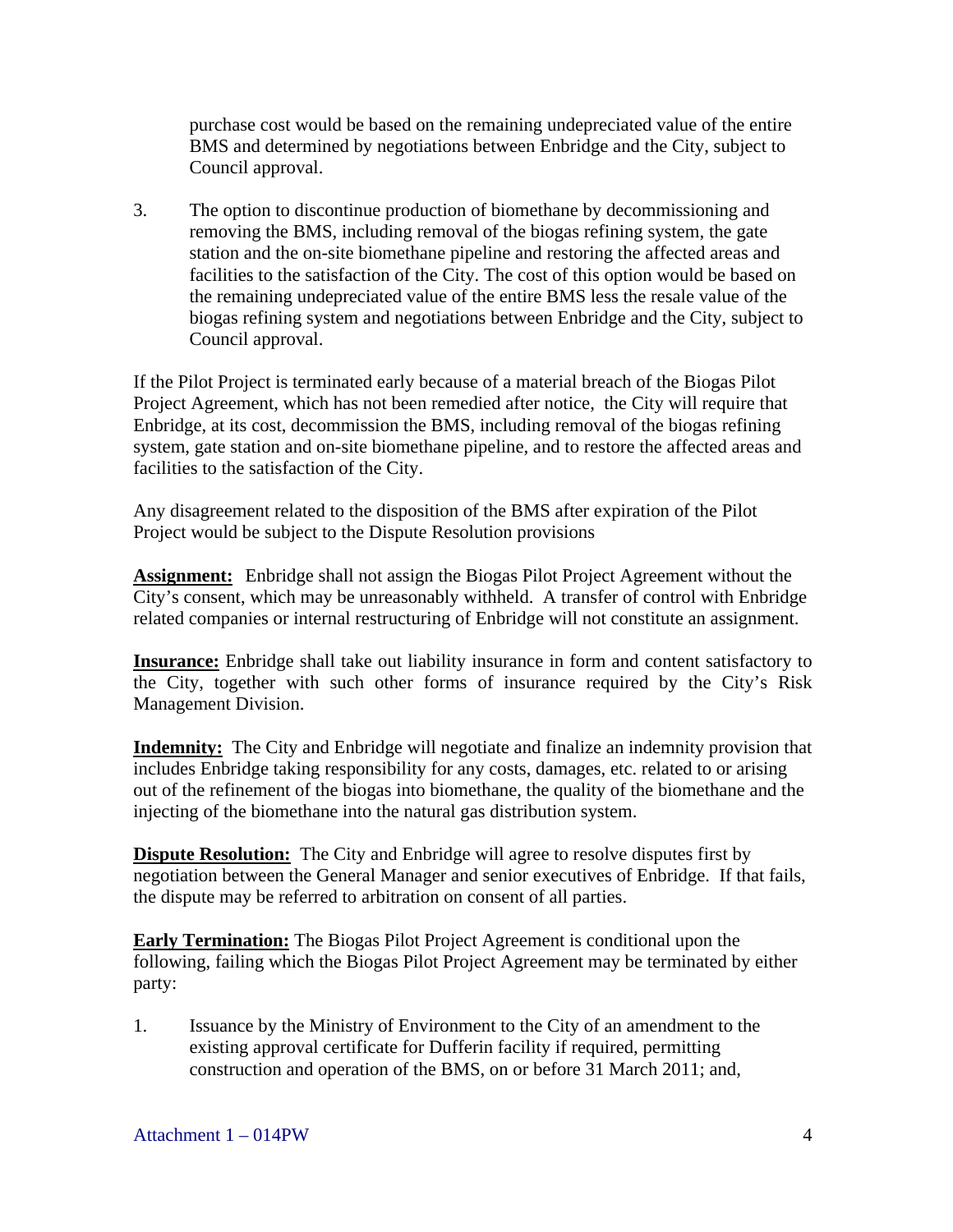purchase cost would be based on the remaining undepreciated value of the entire BMS and determined by negotiations between Enbridge and the City, subject to

Council approval. 3. The option to discontinue production of biomethane by decommissioning and removing the BMS, including removal of the biogas refining system, the gate station and the on-site biomethane pipeline and restoring the affected areas and facilities to the satisfaction of the City. The cost of this option would be based on the remaining undepreciated value of the entire BMS less the resale value of the biogas refining system and negotiations between Enbridge and the City, subject to Council approval.

If the Pilot Project is terminated early because of a material breach of the Biogas Pilot Project Agreement, which has not been remedied after notice, the City will require that Enbridge, at its cost, decommission the BMS, including removal of the biogas refining system, gate station and on-site biomethane pipeline, and to restore the affected areas and facilities to the satisfaction of the City.

Any disagreement related to the disposition of the BMS after expiration of the Pilot Project would be subject to the Dispute Resolution provisions

**Assignment:** Enbridge shall not assign the Biogas Pilot Project Agreement without the City's consent, which may be unreasonably withheld. A transfer of control with Enbridge related companies or internal restructuring of Enbridge will not constitute an assignment.

**Insurance:** Enbridge shall take out liability insurance in form and content satisfactory to the City, together with such other forms of insurance required by the City's Risk Management Division.

**Indemnity:** The City and Enbridge will negotiate and finalize an indemnity provision that includes Enbridge taking responsibility for any costs, damages, etc. related to or arising out of the refinement of the biogas into biomethane, the quality of the biomethane and the injecting of the biomethane into the natural gas distribution system.

**Dispute Resolution:** The City and Enbridge will agree to resolve disputes first by negotiation between the General Manager and senior executives of Enbridge. If that fails, the dispute may be referred to arbitration on consent of all parties.

**Early Termination:** The Biogas Pilot Project Agreement is conditional upon the following, failing which the Biogas Pilot Project Agreement may be terminated by either party:

1. Issuance by the Ministry of Environment to the City of an amendment to the existing approval certificate for Dufferin facility if required, permitting construction and operation of the BMS, on or before 31 March 2011; and,